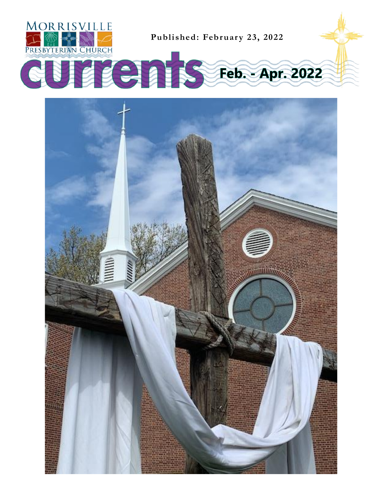

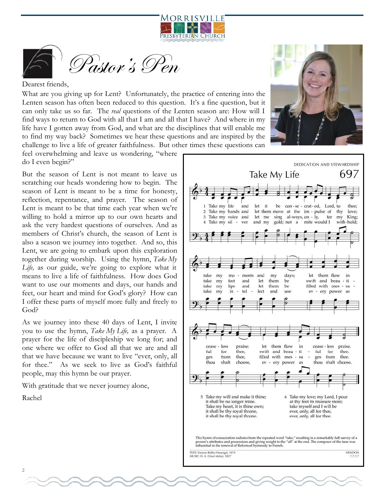![](_page_1_Picture_0.jpeg)

![](_page_1_Picture_1.jpeg)

#### Dearest friends,

What are you giving up for Lent? Unfortunately, the practice of entering into the Lenten season has often been reduced to this question. It's a fine question, but it can only take us so far. The *real* questions of the Lenten season are: How will I find ways to return to God with all that I am and all that I have? And where in my life have I gotten away from God, and what are the disciplines that will enable me to find my way back? Sometimes we hear these questions and are inspired by the challenge to live a life of greater faithfulness. But other times these questions can

feel overwhelming and leave us wondering, "where do I even begin?"

But the season of Lent is not meant to leave us scratching our heads wondering how to begin. The season of Lent is meant to be a time for honesty, reflection, repentance, and prayer. The season of Lent is meant to be that time each year when we're willing to hold a mirror up to our own hearts and ask the very hardest questions of ourselves. And as members of Christ's church, the season of Lent is also a season we journey into together. And so, this Lent, we are going to embark upon this exploration together during worship. Using the hymn, *Take My Life,* as our guide, we're going to explore what it means to live a life of faithfulness. How does God want to use our moments and days, our hands and feet, our heart and mind for God's glory? How can I offer these parts of myself more fully and freely to God?

As we journey into these 40 days of Lent, I invite you to use the hymn, *Take My Life,* as a prayer. A prayer for the life of discipleship we long for; and one where we offer to God all that we are and all that we have because we want to live "ever, only, all for thee." As we seek to live as God's faithful people, may this hymn be our prayer.

With gratitude that we never journey alone,

Rachel

![](_page_1_Picture_9.jpeg)

![](_page_1_Figure_10.jpeg)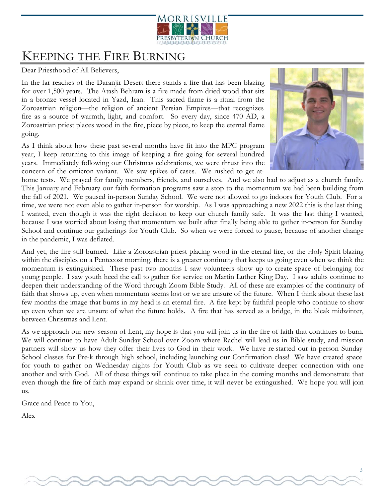![](_page_2_Picture_0.jpeg)

### KEEPING THE FIRE BURNING

Dear Priesthood of All Believers,

In the far reaches of the Daranjir Desert there stands a fire that has been blazing for over 1,500 years. The Atash Behram is a fire made from dried wood that sits in a bronze vessel located in Yazd, Iran. This sacred flame is a ritual from the Zoroastrian religion—the religion of ancient Persian Empires—that recognizes fire as a source of warmth, light, and comfort. So every day, since 470 AD, a Zoroastrian priest places wood in the fire, piece by piece, to keep the eternal flame going.

As I think about how these past several months have fit into the MPC program year, I keep returning to this image of keeping a fire going for several hundred years. Immediately following our Christmas celebrations, we were thrust into the concern of the omicron variant. We saw spikes of cases. We rushed to get at-

![](_page_2_Picture_5.jpeg)

home tests. We prayed for family members, friends, and ourselves. And we also had to adjust as a church family. This January and February our faith formation programs saw a stop to the momentum we had been building from the fall of 2021. We paused in-person Sunday School. We were not allowed to go indoors for Youth Club. For a time, we were not even able to gather in-person for worship. As I was approaching a new 2022 this is the last thing I wanted, even though it was the right decision to keep our church family safe. It was the last thing I wanted, because I was worried about losing that momentum we built after finally being able to gather in-person for Sunday School and continue our gatherings for Youth Club. So when we were forced to pause, because of another change in the pandemic, I was deflated.

And yet, the fire still burned. Like a Zoroastrian priest placing wood in the eternal fire, or the Holy Spirit blazing within the disciples on a Pentecost morning, there is a greater continuity that keeps us going even when we think the momentum is extinguished. These past two months I saw volunteers show up to create space of belonging for young people. I saw youth heed the call to gather for service on Martin Luther King Day. I saw adults continue to deepen their understanding of the Word through Zoom Bible Study. All of these are examples of the continuity of faith that shows up, even when momentum seems lost or we are unsure of the future. When I think about these last few months the image that burns in my head is an eternal fire. A fire kept by faithful people who continue to show up even when we are unsure of what the future holds. A fire that has served as a bridge, in the bleak midwinter, between Christmas and Lent.

As we approach our new season of Lent, my hope is that you will join us in the fire of faith that continues to burn. We will continue to have Adult Sunday School over Zoom where Rachel will lead us in Bible study, and mission partners will show us how they offer their lives to God in their work. We have re-started our in-person Sunday School classes for Pre-k through high school, including launching our Confirmation class! We have created space for youth to gather on Wednesday nights for Youth Club as we seek to cultivate deeper connection with one another and with God. All of these things will continue to take place in the coming months and demonstrate that even though the fire of faith may expand or shrink over time, it will never be extinguished. We hope you will join us.

Grace and Peace to You,

Alex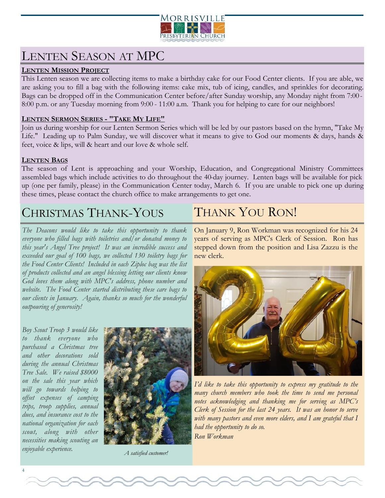![](_page_3_Picture_0.jpeg)

### LENTEN SEASON AT MPC

#### **LENTEN MISSION PROJECT**

This Lenten season we are collecting items to make a birthday cake for our Food Center clients. If you are able, we are asking you to fill a bag with the following items: cake mix, tub of icing, candles, and sprinkles for decorating. Bags can be dropped off in the Communication Center before/after Sunday worship, any Monday night from 7:00 - 8:00 p.m. or any Tuesday morning from 9:00 - 11:00 a.m. Thank you for helping to care for our neighbors!

#### **LENTEN SERMON SERIES - "TAKE MY LIFE"**

Join us during worship for our Lenten Sermon Series which will be led by our pastors based on the hymn, "Take My Life." Leading up to Palm Sunday, we will discover what it means to give to God our moments & days, hands & feet, voice & lips, will & heart and our love & whole self.

#### **LENTEN BAGS**

The season of Lent is approaching and your Worship, Education, and Congregational Ministry Committees assembled bags which include activities to do throughout the 40-day journey. Lenten bags will be available for pick up (one per family, please) in the Communication Center today, March 6. If you are unable to pick one up during these times, please contact the church office to make arrangements to get one.

### CHRISTMAS THANK-YOUS

*The Deacons would like to take this opportunity to thank everyone who filled bags with toiletries and/or donated money to this year's Angel Tree project! It was an incredible success and exceeded our goal of 100 bags, we collected 130 toiletry bags for the Food Center Clients! Included in each Ziploc bag was the list of products collected and an angel blessing letting our clients know God loves them along with MPC's address, phone number and website. The Food Center started distributing these care bags to our clients in January. Again, thanks so much for the wonderful outpouring of generosity!* 

*Boy Scout Troop 3 would like to thank everyone who purchased a Christmas tree and other decorations sold during the annual Christmas Tree Sale. We raised \$8000 on the sale this year which will go towards helping to offset expenses of camping trips, troop supplies, annual dues, and insurance cost to the national organization for each scout, along with other necessities making scouting an enjoyable experience.*

![](_page_3_Picture_11.jpeg)

*A satisfied customer!*

### THANK YOU RON!

On January 9, Ron Workman was recognized for his 24 years of serving as MPC's Clerk of Session. Ron has stepped down from the position and Lisa Zazzu is the new clerk.

![](_page_3_Picture_15.jpeg)

*I'd like to take this opportunity to express my gratitude to the many church members who took the time to send me personal notes acknowledging and thanking me for serving as MPC's Clerk of Session for the last 24 years. It was an honor to serve with many pastors and even more elders, and I am grateful that I had the opportunity to do so. Ron Workman*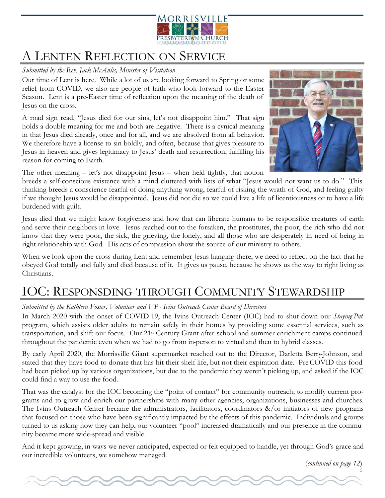![](_page_4_Picture_0.jpeg)

### A LENTEN REFLECTION ON SERVICE

### *Submitted by the Rev. Jack McAnlis, Minister of Visitation*

Our time of Lent is here. While a lot of us are looking forward to Spring or some relief from COVID, we also are people of faith who look forward to the Easter Season. Lent is a pre-Easter time of reflection upon the meaning of the death of Jesus on the cross.

A road sign read, "Jesus died for our sins, let's not disappoint him." That sign holds a double meaning for me and both are negative. There is a cynical meaning in that Jesus died already, once and for all, and we are absolved from all behavior. We therefore have a license to sin boldly, and often, because that gives pleasure to Jesus in heaven and gives legitimacy to Jesus' death and resurrection, fulfilling his reason for coming to Earth.

![](_page_4_Picture_5.jpeg)

The other meaning – let's not disappoint Jesus – when held tightly, that notion

breeds a self-conscious existence with a mind cluttered with lists of what "Jesus would not want us to do." This thinking breeds a conscience fearful of doing anything wrong, fearful of risking the wrath of God, and feeling guilty if we thought Jesus would be disappointed. Jesus did not die so we could live a life of licentiousness or to have a life burdened with guilt.

Jesus died that we might know forgiveness and how that can liberate humans to be responsible creatures of earth and serve their neighbors in love. Jesus reached out to the forsaken, the prostitutes, the poor, the rich who did not know that they were poor, the sick, the grieving, the lonely, and all those who are desperately in need of being in right relationship with God. His acts of compassion show the source of our ministry to others.

When we look upon the cross during Lent and remember Jesus hanging there, we need to reflect on the fact that he obeyed God totally and fully and died because of it. It gives us pause, because he shows us the way to right living as Christians.

# IOC: RESPONSDING THROUGH COMMUNITY STEWARDSHIP

### *Submitted by the Kathleen Foster, Volunteer and VP - Ivins Outreach Center Board of Directors*

In March 2020 with the onset of COVID-19, the Ivins Outreach Center (IOC) had to shut down our *Staying Put*  program, which assists older adults to remain safely in their homes by providing some essential services, such as transportation, and shift our focus. Our 21st Century Grant after-school and summer enrichment camps continued throughout the pandemic even when we had to go from in-person to virtual and then to hybrid classes.

By early April 2020, the Morrisville Giant supermarket reached out to the Director, Darletta Berry-Johnson, and stated that they have food to donate that has hit their shelf life, but not their expiration date. Pre-COVID this food had been picked up by various organizations, but due to the pandemic they weren't picking up, and asked if the IOC could find a way to use the food.

That was the catalyst for the IOC becoming the "point of contact" for community outreach; to modify current programs and to grow and enrich our partnerships with many other agencies, organizations, businesses and churches. The Ivins Outreach Center became the administrators, facilitators, coordinators  $\&/$  or initiators of new programs that focused on those who have been significantly impacted by the effects of this pandemic. Individuals and groups turned to us asking how they can help, our volunteer "pool" increased dramatically and our presence in the community became more wide-spread and visible.

And it kept growing, in ways we never anticipated, expected or felt equipped to handle, yet through God's grace and our incredible volunteers, we somehow managed.

(*continued on page 12*)

5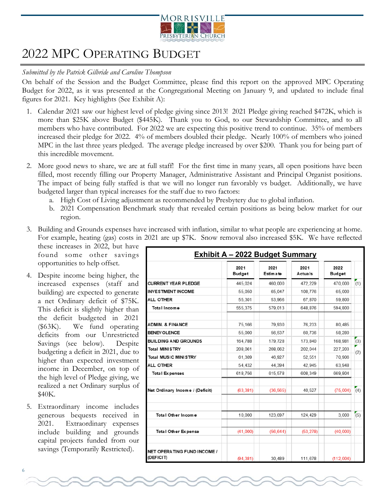![](_page_5_Picture_0.jpeg)

### 2022 MPC OPERATING BUDGET

#### *Submitted by the Patrick Gilbride and Caroline Thompson*

On behalf of the Session and the Budget Committee, please find this report on the approved MPC Operating Budget for 2022, as it was presented at the Congregational Meeting on January 9, and updated to include final figures for 2021. Key highlights (See Exhibit A):

- 1. Calendar 2021 saw our highest level of pledge giving since 2013! 2021 Pledge giving reached \$472K, which is more than \$25K above Budget (\$445K). Thank you to God, to our Stewardship Committee, and to all members who have contributed. For 2022 we are expecting this positive trend to continue. 35% of members increased their pledge for 2022. 4% of members doubled their pledge. Nearly 100% of members who joined MPC in the last three years pledged. The average pledge increased by over \$200. Thank you for being part of this incredible movement.
- 2. More good news to share, we are at full staff! For the first time in many years, all open positions have been filled, most recently filling our Property Manager, Administrative Assistant and Principal Organist positions. The impact of being fully staffed is that we will no longer run favorably vs budget. Additionally, we have budgeted larger than typical increases for the staff due to two factors:
	- a. High Cost of Living adjustment as recommended by Presbytery due to global inflation.
	- b. 2021 Compensation Benchmark study that revealed certain positions as being below market for our region.
- 3. Building and Grounds expenses have increased with inflation, similar to what people are experiencing at home. For example, heating (gas) costs in 2021 are up \$7K. Snow removal also increased \$5K. We have reflected

these increases in 2022, but have found some other savings opportunities to help offset.

- 4. Despite income being higher, the increased expenses (staff and building) are expected to generate a net Ordinary deficit of \$75K. This deficit is slightly higher than the deficit budgeted in 2021 (\$63K). We fund operating deficits from our Unrestricted Savings (see below). Despite budgeting a deficit in 2021, due to higher than expected investment income in December, on top of the high level of Pledge giving, we realized a net Ordinary surplus of \$40K.
- 5. Extraordinary income includes generous bequests received in 2021. Extraordinary expenses include building and grounds capital projects funded from our savings (Temporarily Restricted).

| <b>Exhibit A - 2022 Budget Summary</b>   |                       |                         |                        |                       |     |
|------------------------------------------|-----------------------|-------------------------|------------------------|-----------------------|-----|
|                                          | 2021<br><b>Budget</b> | 2021<br><b>Estimate</b> | 2021<br><b>Actuals</b> | 2022<br><b>Budget</b> |     |
| <b>CURRENT YEAR PLEDGE</b>               | 445.024               | 460,000                 | 472.229                | 470.000               | (1) |
| <b>INVESTMENT INCOME</b>                 | 55.050                | 65.047                  | 108.776                | 65,000                |     |
| <b>ALL OTHER</b>                         | 55.301                | 53,966                  | 67.870                 | 59,800                |     |
| Total Income                             | 555,375               | 579,013                 | 648,876                | 594,800               |     |
| <b>ADMIN. &amp; FINANCE</b>              | 75.166                | 79.930                  | 76.233                 | 80.485                |     |
| <b>BENEV OLENCE</b>                      | 55,000                | 56,537                  | 60.736                 | 58,280                |     |
| <b>BUILDING AND GROUNDS</b>              | 164,788               | 179,728                 | 173.840                | 168,981               | (3) |
| <b>Total MINISTRY</b>                    | 208.061               | 208.062                 | 202.044                | 227.203               | (2) |
| <b>Total MUSIC MINISTRY</b>              | 61.309                | 46.927                  | 52.551                 | 70,906                |     |
| ALL OTHER                                | 54,432                | 44,394                  | 42.945                 | 63,948                |     |
| <b>Total Expenses</b>                    | 618,756               | 615,578                 | 608.349                | 669,804               |     |
| Net Ordinary Income / (Deficit)          | (63, 381)             | (36, 565)               | 40,527                 | (75,004)              | (4) |
| Total Other Income                       | 10,000                | 123,697                 | 124,429                | 3,000                 | (5) |
| <b>Total Other Expense</b>               | (41,000)              | (56, 644)               | (53, 278)              | (40,000)              |     |
| NET OPERATING FUND INCOME /<br>(DEFICIT) | (94, 381)             | 30,489                  | 111,678                | (112,004)             |     |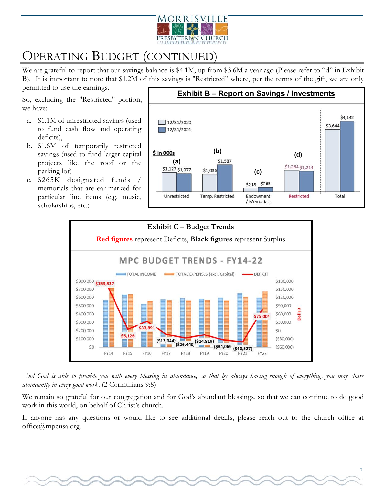![](_page_6_Picture_0.jpeg)

# OPERATING BUDGET (CONTINUED)

We are grateful to report that our savings balance is \$4.1M, up from \$3.6M a year ago (Please refer to "d" in Exhibit B). It is important to note that \$1.2M of this savings is "Restricted" where, per the terms of the gift, we are only

permitted to use the earnings.

So, excluding the "Restricted" portion, we have:

- a. \$1.1M of unrestricted savings (used to fund cash flow and operating deficits),
- b. \$1.6M of temporarily restricted savings (used to fund larger capital projects like the roof or the parking lot)
- c. \$265K designated funds / memorials that are ear-marked for particular line items (e,g, music, scholarships, etc.)

![](_page_6_Figure_8.jpeg)

![](_page_6_Figure_9.jpeg)

*And God is able to provide you with every blessing in abundance, so that by always having enough of everything, you may share abundantly in every good work.* (2 Corinthians 9:8)

We remain so grateful for our congregation and for God's abundant blessings, so that we can continue to do good work in this world, on behalf of Christ's church.

If anyone has any questions or would like to see additional details, please reach out to the church office at [office@mpcusa.org.](mailto:office@mpcusa.org)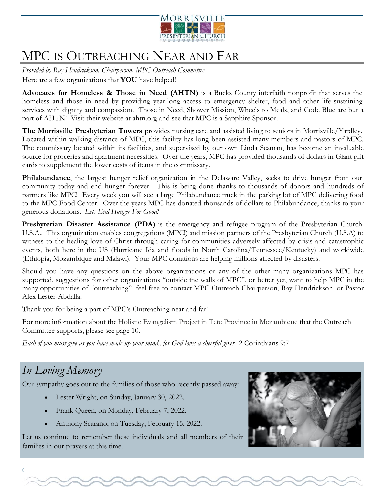![](_page_7_Picture_0.jpeg)

# MPC IS OUTREACHING NEAR AND FAR

*Provided by Ray Hendrickson, Chairperson, MPC Outreach Committee* Here are a few organizations that **YOU** have helped!

**Advocates for Homeless & Those in Need (AHTN)** is a Bucks County interfaith nonprofit that serves the homeless and those in need by providing year-long access to emergency shelter, food and other life-sustaining services with dignity and compassion. Those in Need, Shower Mission, Wheels to Meals, and Code Blue are but a part of AHTN! Visit their website at ahtn.org and see that MPC is a Sapphire Sponsor.

**The Morrisville Presbyterian Towers** provides nursing care and assisted living to seniors in Morrisville/Yardley. Located within walking distance of MPC, this facility has long been assisted many members and pastors of MPC. The commissary located within its facilities, and supervised by our own Linda Seaman, has become an invaluable source for groceries and apartment necessities. Over the years, MPC has provided thousands of dollars in Giant gift cards to supplement the lower costs of items in the commissary.

**Philabundance**, the largest hunger relief organization in the Delaware Valley, seeks to drive hunger from our community today and end hunger forever. This is being done thanks to thousands of donors and hundreds of partners like MPC! Every week you will see a large Philabundance truck in the parking lot of MPC delivering food to the MPC Food Center. Over the years MPC has donated thousands of dollars to Philabundance, thanks to your generous donations. *Lets End Hunger For Good!*

**Presbyterian Disaster Assistance (PDA)** is the emergency and refugee program of the Presbyterian Church U.S.A.. This organization enables congregations (MPC!) and mission partners of the Presbyterian Church (U.S.A) to witness to the healing love of Christ through caring for communities adversely affected by crisis and catastrophic events, both here in the US (Hurricane Ida and floods in North Carolina/Tennessee/Kentucky) and worldwide (Ethiopia, Mozambique and Malawi). Your MPC donations are helping millions affected by disasters.

Should you have any questions on the above organizations or any of the other many organizations MPC has supported, suggestions for other organizations "outside the walls of MPC", or better yet, want to help MPC in the many opportunities of "outreaching", feel free to contact MPC Outreach Chairperson, Ray Hendrickson, or Pastor Alex Lester-Abdalla.

Thank you for being a part of MPC's Outreaching near and far!

For more information about the Holistic Evangelism Project in Tete Province in Mozambique that the Outreach Committee supports, please see page 10.

*Each of you must give as you have made up your mind...for God loves a cheerful giver.* 2 Corinthians 9:7

### *In Loving Memory*

Our sympathy goes out to the families of those who recently passed away:

- Lester Wright, on Sunday, January 30, 2022.
- Frank Queen, on Monday, February 7, 2022.
- Anthony Scarano, on Tuesday, February 15, 2022.

Let us continue to remember these individuals and all members of their families in our prayers at this time.

![](_page_7_Picture_17.jpeg)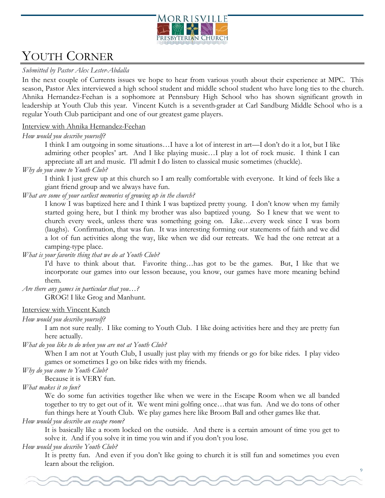![](_page_8_Picture_0.jpeg)

### YOUTH CORNER

#### *Submitted by Pastor Alex Lester-Abdalla*

In the next couple of Currents issues we hope to hear from various youth about their experience at MPC. This season, Pastor Alex interviewed a high school student and middle school student who have long ties to the church. Ahnika Hernandez-Feehan is a sophomore at Pennsbury High School who has shown significant growth in leadership at Youth Club this year. Vincent Kutch is a seventh-grader at Carl Sandburg Middle School who is a regular Youth Club participant and one of our greatest game players.

#### Interview with Ahnika Hernandez-Feehan

#### *How would you describe yourself?*

I think I am outgoing in some situations…I have a lot of interest in art—I don't do it a lot, but I like admiring other peoples' art. And I like playing music...I play a lot of rock music. I think I can appreciate all art and music. I'll admit I do listen to classical music sometimes (chuckle).

#### *Why do you come to Youth Club?*

I think I just grew up at this church so I am really comfortable with everyone. It kind of feels like a giant friend group and we always have fun.

#### *What are some of your earliest memories of growing up in the church?*

I know I was baptized here and I think I was baptized pretty young. I don't know when my family started going here, but I think my brother was also baptized young. So I knew that we went to church every week, unless there was something going on. Like…every week since I was born (laughs). Confirmation, that was fun. It was interesting forming our statements of faith and we did a lot of fun activities along the way, like when we did our retreats. We had the one retreat at a camping-type place.

### *What is your favorite thing that we do at Youth Club?*

I'd have to think about that. Favorite thing…has got to be the games. But, I like that we incorporate our games into our lesson because, you know, our games have more meaning behind them.

*Are there any games in particular that you…?*

GROG! I like Grog and Manhunt.

#### Interview with Vincent Kutch

#### *How would you describe yourself?*

I am not sure really. I like coming to Youth Club. I like doing activities here and they are pretty fun here actually.

*What do you like to do when you are not at Youth Club?*

When I am not at Youth Club, I usually just play with my friends or go for bike rides. I play video games or sometimes I go on bike rides with my friends.

*Why do you come to Youth Club?*

Because it is VERY fun.

#### *What makes it so fun?*

We do some fun activities together like when we were in the Escape Room when we all banded together to try to get out of it. We went mini golfing once…that was fun. And we do tons of other fun things here at Youth Club. We play games here like Broom Ball and other games like that.

#### *How would you describe an escape room?*

It is basically like a room locked on the outside. And there is a certain amount of time you get to solve it. And if you solve it in time you win and if you don't you lose.

#### *How would you describe Youth Club?*

It is pretty fun. And even if you don't like going to church it is still fun and sometimes you even learn about the religion.

9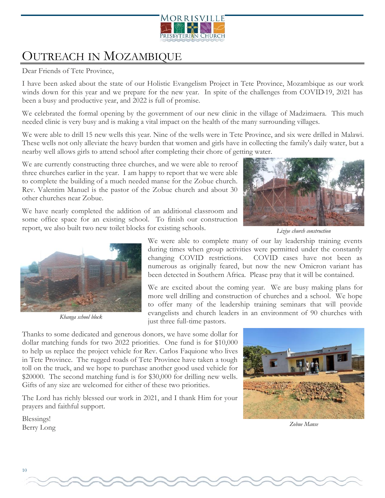![](_page_9_Picture_0.jpeg)

# OUTREACH IN MOZAMBIQUE

Dear Friends of Tete Province,

I have been asked about the state of our Holistic Evangelism Project in Tete Province, Mozambique as our work winds down for this year and we prepare for the new year. In spite of the challenges from COVID-19, 2021 has been a busy and productive year, and 2022 is full of promise.

We celebrated the formal opening by the government of our new clinic in the village of Madzimaera. This much needed clinic is very busy and is making a vital impact on the health of the many surrounding villages.

We were able to drill 15 new wells this year. Nine of the wells were in Tete Province, and six were drilled in Malawi. These wells not only alleviate the heavy burden that women and girls have in collecting the family's daily water, but a nearby well allows girls to attend school after completing their chore of getting water.

We are currently constructing three churches, and we were able to reroof three churches earlier in the year. I am happy to report that we were able to complete the building of a much needed manse for the Zobue church. Rev. Valentim Manuel is the pastor of the Zobue church and about 30 other churches near Zobue.

We have nearly completed the addition of an additional classroom and some office space for an existing school. To finish our construction report, we also built two new toilet blocks for existing schools.

![](_page_9_Picture_8.jpeg)

*Liziye church construction*

![](_page_9_Picture_10.jpeg)

*Khanga school block*

We were able to complete many of our lay leadership training events during times when group activities were permitted under the constantly changing COVID restrictions. COVID cases have not been as numerous as originally feared, but now the new Omicron variant has been detected in Southern Africa. Please pray that it will be contained.

We are excited about the coming year. We are busy making plans for more well drilling and construction of churches and a school. We hope to offer many of the leadership training seminars that will provide evangelists and church leaders in an environment of 90 churches with just three full-time pastors.

Thanks to some dedicated and generous donors, we have some dollar for dollar matching funds for two 2022 priorities. One fund is for \$10,000 to help us replace the project vehicle for Rev. Carlos Faquione who lives in Tete Province. The rugged roads of Tete Province have taken a tough toll on the truck, and we hope to purchase another good used vehicle for \$20000. The second matching fund is for \$30,000 for drilling new wells. Gifts of any size are welcomed for either of these two priorities.

The Lord has richly blessed our work in 2021, and I thank Him for your prayers and faithful support.

Blessings! Berry Long

![](_page_9_Picture_17.jpeg)

*Zobue Manse*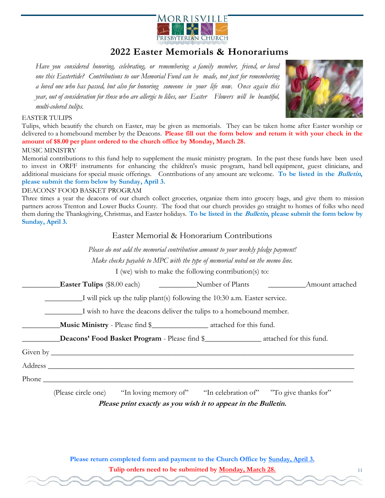![](_page_10_Picture_0.jpeg)

### **2022 Easter Memorials & Honorariums**

*Have you considered honoring, celebrating, or remembering a family member, friend, or loved one this Eastertide? Contributions to our Memorial Fund can be made, not just for remembering a loved one who has passed, but also for honoring someone in your life now. Once again this year, out of consideration for those who are allergic to lilies, our Easter Flowers will be beautiful, multi-colored tulips.*

![](_page_10_Picture_3.jpeg)

11

#### EASTER TULIPS

Tulips, which beautify the church on Easter, may be given as memorials. They can be taken home after Easter worship or delivered to a homebound member by the Deacons. **Please fill out the form below and return it with your check in the amount of \$8.00 per plant ordered to the church office by Monday, March 28.**

#### MUSIC MINISTRY

Memorial contributions to this fund help to supplement the music ministry program. In the past these funds have been used to invest in ORFF instruments for enhancing the children's music program, hand bell equipment, guest clinicians, and additional musicians for special music offerings. Contributions of any amount are welcome. **To be listed in the Bulletin, please submit the form below by Sunday, April 3.**

#### DEACONS' FOOD BASKET PROGRAM

Three times a year the deacons of our church collect groceries, organize them into grocery bags, and give them to mission partners across Trenton and Lower Bucks County. The food that our church provides go straight to homes of folks who need them during the Thanksgiving, Christmas, and Easter holidays. **To be listed in the Bulletin, please submit the form below by Sunday, April 3.**

#### Easter Memorial & Honorarium Contributions

*Please do not add the memorial contribution amount to your weekly pledge payment! Make checks payable to MPC with the type of memorial noted on the memo line.* I (we) wish to make the following contribution(s) to: **Easter Tulips** (\$8.00 each) **Number of Plants Amount attached** \_\_\_\_\_\_\_\_\_\_I will pick up the tulip plant(s) following the 10:30 a.m. Easter service. \_\_\_\_\_\_\_\_\_\_I wish to have the deacons deliver the tulips to a homebound member. \_\_\_\_\_\_\_\_\_\_**Music Ministry** - Please find \$\_\_\_\_\_\_\_\_\_\_\_\_\_\_\_ attached for this fund. \_\_\_\_\_\_\_\_\_\_**Deacons' Food Basket Program** - Please find \$\_\_\_\_\_\_\_\_\_\_\_\_\_\_\_ attached for this fund. Given by \_\_\_\_\_\_\_\_\_\_\_\_\_\_\_\_\_\_\_\_\_\_\_\_\_\_\_\_\_\_\_\_\_\_\_\_\_\_\_\_\_\_\_\_\_\_\_\_\_\_\_\_\_\_\_\_\_\_\_\_\_\_\_\_\_\_\_\_\_\_\_\_\_\_\_\_\_\_\_\_ Address  $\overline{\mathcal{A}}$ Phone \_\_\_\_\_\_\_\_\_\_\_\_\_\_\_\_\_\_\_\_\_\_\_\_\_\_\_\_\_\_\_\_\_\_\_\_\_\_\_\_\_\_\_\_\_\_\_\_\_\_\_\_\_\_\_\_\_\_\_\_\_\_\_\_\_\_\_\_\_\_\_\_\_\_\_\_\_\_\_\_\_\_

(Please circle one) "In loving memory of" "In celebration of" "To give thanks for" **Please print exactly as you wish it to appear in the Bulletin.**

**Please return completed form and payment to the Church Office by Sunday, April 3. Tulip orders need to be submitted by Monday, March 28.**